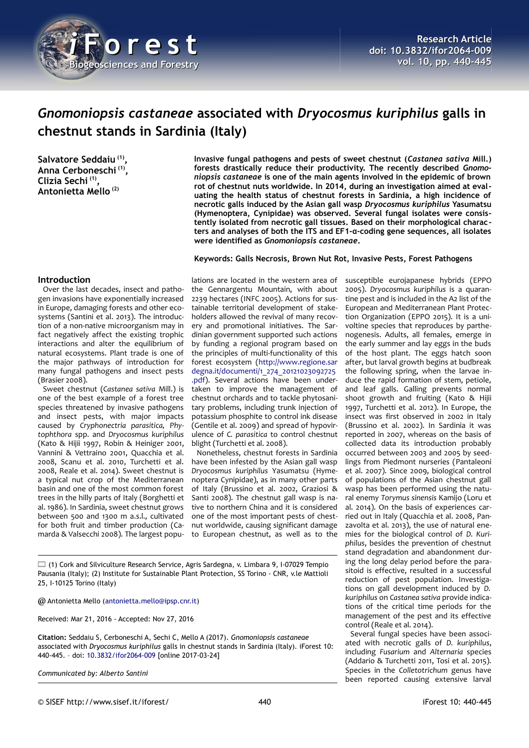

# *Gnomoniopsis castaneae* **associated with** *Dryocosmus kuriphilus* **galls in chestnut stands in Sardinia (Italy)**

**Salvatore Seddaiu (1) , Anna Cerboneschi (1) , Clizia Sechi (1) , Antonietta Mello (2)**

**Invasive fungal pathogens and pests of sweet chestnut (***Castanea sativa* **Mill.) forests drastically reduce their productivity. The recently described** *Gnomoniopsis castaneae* **is one of the main agents involved in the epidemic of brown rot of chestnut nuts worldwide. In 2014, during an investigation aimed at evaluating the health status of chestnut forests in Sardinia, a high incidence of necrotic galls induced by the Asian gall wasp** *Dryocosmus kuriphilus* **Yasumatsu (Hymenoptera, Cynipidae) was observed. Several fungal isolates were consistently isolated from necrotic gall tissues. Based on their morphological characters and analyses of both the ITS and EF1-α-coding gene sequences, all isolates were identified as** *Gnomoniopsis castaneae***.**

## **Keywords: Galls Necrosis, Brown Nut Rot, Invasive Pests, Forest Pathogens**

# **Introduction**

Over the last decades, insect and pathogen invasions have exponentially increased in Europe, damaging forests and other ecosystems (Santini et al. 2013). The introduction of a non-native microorganism may in fact negatively affect the existing trophic interactions and alter the equilibrium of natural ecosystems. Plant trade is one of the major pathways of introduction for many fungal pathogens and insect pests (Brasier 2008).

Sweet chestnut (*Castanea sativa* Mill.) is one of the best example of a forest tree species threatened by invasive pathogens and insect pests, with major impacts caused by *Cryphonectria parasitica, Phytophthora* spp. and *Dryocosmus kuriphilus* (Kato & Hijii 1997, Robin & Heiniger 2001, Vannini & Vettraino 2001, Quacchia et al. 2008, Scanu et al. 2010, Turchetti et al. 2008, Reale et al. 2014). Sweet chestnut is a typical nut crop of the Mediterranean basin and one of the most common forest trees in the hilly parts of Italy (Borghetti et al. 1986). In Sardinia, sweet chestnut grows between 500 and 1300 m a.s.l., cultivated for both fruit and timber production (Camarda & Valsecchi 2008). The largest popu-

lations are located in the western area of the Gennargentu Mountain, with about 2239 hectares (INFC 2005). Actions for sustainable territorial development of stakeholders allowed the revival of many recovery and promotional initiatives. The Sardinian government supported such actions by funding a regional program based on the principles of multi-functionality of this forest ecosystem [\(http://www.regione.sar](https://www.regione.sardegna.it/documenti/1_274_20121023092725.pdf) [degna.it/documenti/1\\_274\\_20121023092725](https://www.regione.sardegna.it/documenti/1_274_20121023092725.pdf) [.pdf\)](https://www.regione.sardegna.it/documenti/1_274_20121023092725.pdf). Several actions have been undertaken to improve the management of chestnut orchards and to tackle phytosanitary problems, including trunk injection of potassium phosphite to control ink disease (Gentile et al. 2009) and spread of hypovirulence of *C. parasitica* to control chestnut blight (Turchetti et al. 2008).

Nonetheless, chestnut forests in Sardinia have been infested by the Asian gall wasp *Dryocosmus kuriphilus* Yasumatsu (Hymenoptera Cynipidae), as in many other parts of Italy (Brussino et al. 2002, Graziosi & Santi 2008). The chestnut gall wasp is native to northern China and it is considered one of the most important pests of chestnut worldwide, causing significant damage to European chestnut, as well as to the

 $\Box$  (1) Cork and Silviculture Research Service, Agris Sardegna, v. Limbara 9, I-07029 Tempio Pausania (Italy); (2) Institute for Sustainable Plant Protection, SS Torino - CNR, v.le Mattioli 25, I-10125 Torino (Italy)

@ Antonietta Mello [\(antonietta.mello@ipsp.cnr.it\)](mailto:antonietta.mello@ipsp.cnr.it)

Received: Mar 21, 2016 - Accepted: Nov 27, 2016

**Citation:** Seddaiu S, Cerboneschi A, Sechi C, Mello A (2017). *Gnomoniopsis castaneae* associated with *Dryocosmus kuriphilus* galls in chestnut stands in Sardinia (Italy). iForest 10: 440-445. – doi: [10.3832/ifor2064-009](http://www.sisef.it/iforest/contents/?id=ifor2064-009) [online 2017-03-24]

*Communicated by: Alberto Santini*

susceptible eurojapanese hybrids (EPPO 2005). *Dryocosmus kuriphilus* is a quarantine pest and is included in the A2 list of the European and Mediterranean Plant Protection Organization (EPPO 2015). It is a univoltine species that reproduces by parthenogenesis. Adults, all females, emerge in the early summer and lay eggs in the buds of the host plant. The eggs hatch soon after, but larval growth begins at budbreak the following spring, when the larvae induce the rapid formation of stem, petiole, and leaf galls. Galling prevents normal shoot growth and fruiting (Kato & Hijii 1997, Turchetti et al. 2012). In Europe, the insect was first observed in 2002 in Italy (Brussino et al. 2002). In Sardinia it was reported in 2007, whereas on the basis of collected data its introduction probably occurred between 2003 and 2005 by seedlings from Piedmont nurseries (Pantaleoni et al. 2007). Since 2009, biological control of populations of the Asian chestnut gall wasp has been performed using the natural enemy *Torymus sinensis* Kamijo (Loru et al. 2014). On the basis of experiences carried out in Italy (Quacchia et al. 2008, Panzavolta et al. 2013), the use of natural enemies for the biological control of *D. Kuriphilus*, besides the prevention of chestnut stand degradation and abandonment during the long delay period before the parasitoid is effective, resulted in a successful reduction of pest population. Investigations on gall development induced by *D. kuriphilus* on *Castanea sativa* provide indications of the critical time periods for the management of the pest and its effective control (Reale et al. 2014).

Several fungal species have been associated with necrotic galls of *D. kuriphilus*, including *Fusarium* and *Alternaria* species (Addario & Turchetti 2011, Tosi et al. 2015). Species in the *Colletotrichum* genus have been reported causing extensive larval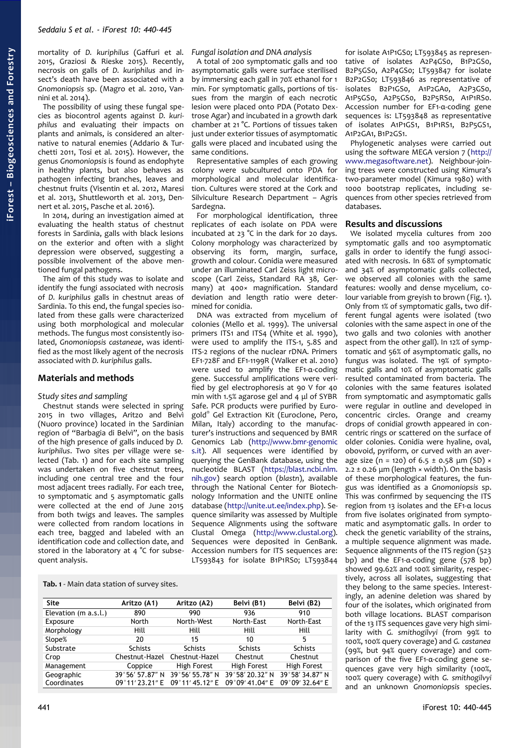mortality of *D. kuriphilus* (Gaffuri et al. 2015, Graziosi & Rieske 2015). Recently, necrosis on galls of *D. kuriphilus* and insect's death have been associated with a *Gnomoniopsis* sp. (Magro et al. 2010, Vannini et al. 2014).

The possibility of using these fungal species as biocontrol agents against *D. kuriphilus* and evaluating their impacts on plants and animals, is considered an alternative to natural enemies (Addario & Turchetti 2011, Tosi et al. 2015). However, the genus *Gnomoniopsis* is found as endophyte in healthy plants, but also behaves as pathogen infecting branches, leaves and chestnut fruits (Visentin et al. 2012, Maresi et al. 2013, Shuttleworth et al. 2013, Dennert et al. 2015, Pasche et al. 2016).

In 2014, during an investigation aimed at evaluating the health status of chestnut forests in Sardinia, galls with black lesions on the exterior and often with a slight depression were observed, suggesting a possible involvement of the above mentioned fungal pathogens.

The aim of this study was to isolate and identify the fungi associated with necrosis of *D. kuriphilus* galls in chestnut areas of Sardinia. To this end, the fungal species isolated from these galls were characterized using both morphological and molecular methods. The fungus most consistently isolated, *Gnomoniopsis castaneae*, was identified as the most likely agent of the necrosis associated with *D. kuriphilus* galls.

# **Materials and methods**

## *Study sites and sampling*

Chestnut stands were selected in spring 2015 in two villages, Aritzo and Belvì (Nuoro province) located in the Sardinian region of "Barbagia di Belvì", on the basis of the high presence of galls induced by *D. kuriphilus*. Two sites per village were selected [\(Tab. 1\)](#page-1-0) and for each site sampling was undertaken on five chestnut trees, including one central tree and the four most adjacent trees radially. For each tree, 10 symptomatic and 5 asymptomatic galls were collected at the end of June 2015 from both twigs and leaves. The samples were collected from random locations in each tree, bagged and labeled with an identification code and collection date, and stored in the laboratory at 4 °C for subsequent analysis.

# *Fungal isolation and DNA analysis*

A total of 200 symptomatic galls and 100 asymptomatic galls were surface sterilised by immersing each gall in 70% ethanol for 1 min. For symptomatic galls, portions of tissues from the margin of each necrotic lesion were placed onto PDA (Potato Dextrose Agar) and incubated in a growth dark chamber at 21 °C. Portions of tissues taken just under exterior tissues of asymptomatic galls were placed and incubated using the same conditions.

Representative samples of each growing colony were subcultured onto PDA for morphological and molecular identification. Cultures were stored at the Cork and Silviculture Research Department – Agris Sardegna.

For morphological identification, three replicates of each isolate on PDA were incubated at 23 °C in the dark for 20 days. Colony morphology was characterized by observing its form, margin, surface, growth and colour. Conidia were measured under an illuminated Carl Zeiss light microscope (Carl Zeiss, Standard RA 38, Germany) at 400× magnification. Standard deviation and length ratio were determined for conidia.

DNA was extracted from mycelium of colonies (Mello et al. 1999). The universal primers ITS1 and ITS4 (White et al. 1990), were used to amplify the ITS-1, 5.8S and ITS-2 regions of the nuclear rDNA. Primers EF1-728F and EF1-1199R (Walker et al. 2010) were used to amplify the EF1-α-coding gene. Successful amplifications were verified by gel electrophoresis at 90 V for 40 min with 1.5% agarose gel and 4 μl of SYBR Safe. PCR products were purified by Eurogold® Gel Extraction Kit (Euroclone, Pero, Milan, Italy) according to the manufacturer's instructions and sequenced by BMR Genomics Lab [\(http://www.bmr-genomic](http://www.bmr-genomics.it/) [s.it\)](http://www.bmr-genomics.it/). All sequences were identified by querying the GenBank database, using the nucleotide BLAST [\(https://blast.ncbi.nlm.](https://blast.ncbi.nlm.nih.gov/) [nih.gov\)](https://blast.ncbi.nlm.nih.gov/) search option (*blastn*), available through the National Center for Biotechnology Information and the UNITE online database [\(http://unite.ut.ee/index.php\)](https://unite.ut.ee/index.php). Sequence similarity was assessed by Multiple Sequence Alignments using the software Clustal Omega [\(http://www.clustal.org\)](http://www.clustal.org/). Sequences were deposited in GenBank. Accession numbers for ITS sequences are: LT593843 for isolate B1P1RS0; LT593844

<span id="page-1-0"></span>**Tab. 1** - Main data station of survey sites.

| <b>Site</b>          | Aritzo (A1)     | Aritzo (A2)    | Belvi (B1)      | Belvi (B2)      |
|----------------------|-----------------|----------------|-----------------|-----------------|
| Elevation (m a.s.l.) | 890             | 990            | 936             | 910             |
| Exposure             | North           | North-West     | North-East      | North-East      |
| Morphology           | Hill            | Hill           | Hill            | Hill            |
| Slope%               | 20              | 15             | 10              | 5               |
| Substrate            | <b>Schists</b>  | <b>Schists</b> | <b>Schists</b>  | <b>Schists</b>  |
| Crop                 | Chestnut-Hazel  | Chestnut-Hazel | Chestnut        | Chestnut        |
| Management           | Coppice         | High Forest    | High Forest     | High Forest     |
| Geographic           | 39°56' 57.87" N | 39°56′55.78″N  | 39°58′ 20.32″ N | 39°58′34.87″N   |
| Coordinates          | 09°11′23.21″ E  | 09°11′45.12″E  | 09°09′41.04″ E  | 09°09' 32.64" E |

tative of isolates A2P4GS0, B1P2GS0, B2P5GS0, A2P4GS0; LT593847 for isolate B2P2GS0; LT593846 as representative of isolates B2P1GS0, A1P2GA0, A2P3GS0, A1P5GS0, A2P5GS0, B2P5RS0, A1P1RS0. Accession number for EF1-α-coding gene sequences is: LT593848 as representative of isolates A1P1GS1, B1P1RS1, B2P5GS1, A1P2GA1, B1P2GS1.

for isolate A1P1GS0; LT593845 as represen-

Phylogenetic analyses were carried out using the software MEGA version 7 [\(http://](http://www.megasoftware.net/) [www.megasoftware.net\)](http://www.megasoftware.net/). Neighbour-joining trees were constructed using Kimura's two-parameter model (Kimura 1980) with 1000 bootstrap replicates, including sequences from other species retrieved from databases.

#### **Results and discussions**

We isolated mycelia cultures from 200 symptomatic galls and 100 asymptomatic galls in order to identify the fungi associated with necrosis. In 68% of symptomatic and 34% of asymptomatic galls collected, we observed all colonies with the same features: woolly and dense mycelium, colour variable from greyish to brown [\(Fig. 1\)](#page-2-0). Only from 1% of symptomatic galls, two different fungal agents were isolated (two colonies with the same aspect in one of the two galls and two colonies with another aspect from the other gall). In 12% of symptomatic and 56% of asymptomatic galls, no fungus was isolated. The 19% of symptomatic galls and 10% of asymptomatic galls resulted contaminated from bacteria. The colonies with the same features isolated from symptomatic and asymptomatic galls were regular in outline and developed in concentric circles. Orange and creamy drops of conidial growth appeared in concentric rings or scattered on the surface of older colonies. Conidia were hyaline, oval, obovoid, pyriform, or curved with an average size (n = 120) of 6.5 ± 0.58  $\mu$ m (SD) ×  $2.2 \pm 0.26$  μm (length  $\times$  width). On the basis of these morphological features, the fungus was identified as a *Gnomoniopsis* sp. This was confirmed by sequencing the ITS region from 13 isolates and the EF1-α locus from five isolates originated from symptomatic and asymptomatic galls. In order to check the genetic variability of the strains, a multiple sequence alignment was made. Sequence alignments of the ITS region (523 bp) and the EF1-α-coding gene (578 bp) showed 99.62% and 100% similarity, respectively, across all isolates, suggesting that they belong to the same species. Interestingly, an adenine deletion was shared by four of the isolates, which originated from both village locations. BLAST comparison of the 13 ITS sequences gave very high similarity with *G. smithogilvyi* (from 99% to 100%, 100% query coverage) and *G. castanea* (99%, but 94% query coverage) and comparison of the five EF1-α-coding gene sequences gave very high similarity (100%, 100% query coverage) with *G. smithogilvyi* and an unknown *Gnomoniopsis* species.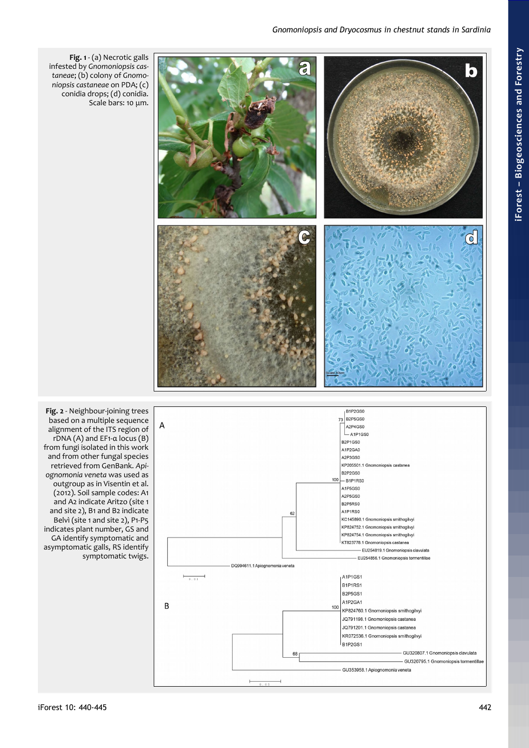

<span id="page-2-1"></span><span id="page-2-0"></span>**Fig. 1** - (a) Necrotic galls infested by *Gnomoniopsis castaneae*; (b) colony of *Gnomoniopsis castaneae* on PDA; (c) conidia drops; (d) conidia. Scale bars: 10 μm.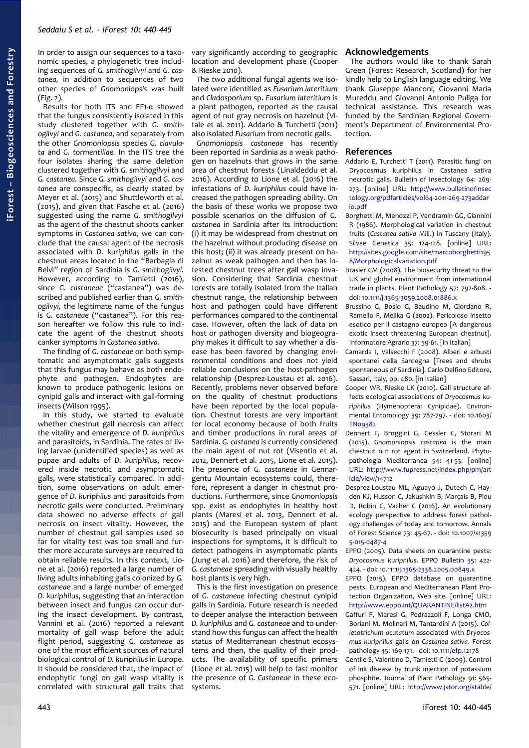In order to assign our sequences to a taxonomic species, a phylogenetic tree including sequences of *G. smithogilvyi* and *G. castanea,* in addition to sequences of two other species of *Gnomoniopsis* was built [\(Fig. 2\)](#page-2-1).

Results for both ITS and EF1-α showed that the fungus consistently isolated in this study clustered together with *G. smithogilvyi* and *G. castanea*, and separately from the other *Gnomoniopsis* species *G. clavulata* and *G. tormentillae.* In the ITS tree the four isolates sharing the same deletion clustered together with *G. smithogilvyi* and *G. castanea.* Since *G. smithogilvyi* and *G. castanea* are conspecific, as clearly stated by Meyer et al. (2015) and Shuttleworth et al. (2015), and given that Pasche et al. (2016) suggested using the name *G. smithogilvyi* as the agent of the chestnut shoots canker symptoms in *Castanea sativa*, we can conclude that the causal agent of the necrosis associated with *D. kuriphilus* galls in the chestnut areas located in the "Barbagia di Belvì" region of Sardinia is *G. smithogilvyi.* However, according to Tamietti (2016), since *G. castaneae* ("castanea") was described and published earlier than *G. smithogilvyi,* the legitimate name of the fungus is *G. castaneae* ("castanea"). For this reason hereafter we follow this rule to indicate the agent of the chestnut shoots canker symptoms in *Castanea sativa.*

The finding of *G. castaneae* on both symptomatic and asymptomatic galls suggests that this fungus may behave as both endophyte and pathogen. Endophytes are known to produce pathogenic lesions on cynipid galls and interact with gall-forming insects (Wilson 1995).

In this study, we started to evaluate whether chestnut gall necrosis can affect the vitality and emergence of *D. kuriphilus* and parasitoids, in Sardinia. The rates of living larvae (unidentified species) as well as pupae and adults of *D. kuriphilus*, recovered inside necrotic and asymptomatic galls, were statistically compared. In addition, some observations on adult emergence of *D. kuriphilus* and parasitoids from necrotic galls were conducted. Preliminary data showed no adverse effects of gall necrosis on insect vitality. However, the number of chestnut gall samples used so far for vitality test was too small and further more accurate surveys are required to obtain reliable results. In this context, Lione et al. (2016) reported a large number of living adults inhabiting galls colonized by *G. castaneae* and a large number of emerged *D. kuriphilus*, suggesting that an interaction between insect and fungus can occur during the insect development. By contrast, Vannini et al. (2016) reported a relevant mortality of gall wasp before the adult flight period, suggesting *G. castaneae* as one of the most efficient sources of natural biological control of *D. kuriphilus* in Europe. It should be considered that, the impact of endophytic fungi on gall wasp vitality is correlated with structural gall traits that

vary significantly according to geographic location and development phase (Cooper & Rieske 2010).

The two additional fungal agents we isolated were identified as *Fusarium lateritium* and *Cladosporium* sp. *Fusarium lateritium* is a plant pathogen, reported as the causal agent of nut gray necrosis on hazelnut (Vitale et al. 2011). Addario & Turchetti (2011) also isolated *Fusarium* from necrotic galls.

*Gnomoniopsis castaneae* has recently been reported in Sardinia as a weak pathogen on hazelnuts that grows in the same area of chestnut forests (Linaldeddu et al. 2016). According to Lione et al. (2016) the infestations of *D. kuriphilus* could have increased the pathogen spreading ability. On the basis of these works we propose two possible scenarios on the diffusion of *G. castanea* in Sardinia after its introduction: (i) it may be widespread from chestnut on the hazelnut without producing disease on this host; (ii) it was already present on hazelnut as weak pathogen and then has infested chestnut trees after gall wasp invasion. Considering that Sardinia chestnut forests are totally isolated from the Italian chestnut range, the relationship between host and pathogen could have different performances compared to the continental case. However, often the lack of data on host or pathogen diversity and biogeography makes it difficult to say whether a disease has been favored by changing environmental conditions and does not yield reliable conclusions on the host-pathogen relationship (Desprez-Loustau et al. 2016). Recently, problems never observed before on the quality of chestnut productions have been reported by the local population. Chestnut forests are very important for local economy because of both fruits and timber productions in rural areas of Sardinia. *G. castanea* is currently considered the main agent of nut rot (Visentin et al. 2012, Dennert et al. 2015, Lione et al. 2015). The presence of *G. castaneae* in Gennargentu Mountain ecosystems could, therefore, represent a danger in chestnut productions. Furthermore, since *Gnomoniopsis* spp. exist as endophytes in healthy host plants (Maresi et al. 2013, Dennert et al. 2015) and the European system of plant biosecurity is based principally on visual inspections for symptoms, it is difficult to detect pathogens in asymptomatic plants (Jung et al. 2016) and therefore, the risk of *G. castaneae* spreading with visually healthy host plants is very high.

This is the first investigation on presence of *G. castaneae* infecting chestnut cynipid galls in Sardinia. Future research is needed to deeper analyse the interaction between *D. kuriphilus* and *G. castaneae* and to understand how this fungus can affect the health status of Mediterranean chestnut ecosystems and then, the quality of their products. The availability of specific primers (Lione et al. 2015) will help to fast monitor the presence of *G. Castaneae* in these ecosystems.

# **Acknowledgements**

The authors would like to thank Sarah Green (Forest Research, Scotland) for her kindly help to English language editing. We thank Giuseppe Manconi, Giovanni Maria Mureddu and Giovanni Antonio Puliga for technical assistance. This research was funded by the Sardinian Regional Government's Department of Environmental Protection.

# **References**

- Addario E, Turchetti T (2011). Parasitic fungi on Dryocosmus kuriphilus in Castanea sativa necrotic galls. Bulletin of Insectology 64: 269- 273. [online] URL: [http://www.bulletinofinsec](http://www.bulletinofinsectology.org/pdfarticles/vol64-2011-269-273addario.pdf) [tology.org/pdfarticles/vol64-2011-269-273addar](http://www.bulletinofinsectology.org/pdfarticles/vol64-2011-269-273addario.pdf) [io.pdf](http://www.bulletinofinsectology.org/pdfarticles/vol64-2011-269-273addario.pdf)
- Borghetti M, Menozzi P, Vendramin GG, Giannini R (1986). Morphological variation in chestnut fruits (*Castanea sativa* Mill.) in Tuscany (Italy). Silvae Genetica 35: 124-128. [online] URL: [http://sites.google.com/site/marcoborghetti195](http://sites.google.com/site/marcoborghetti1958/Morphologicalvariation.pdf) [8/Morphologicalvariation.pdf](http://sites.google.com/site/marcoborghetti1958/Morphologicalvariation.pdf)
- Brasier CM (2008). The biosecurity threat to the UK and global environment from international trade in plants. Plant Pathology 57: 792-808. doi: [10.1111/j.1365-3059.2008.01886.x](http://dx.doi.org/10.1111/j.1365-3059.2008.01886.x)
- Brussino G, Bosio G, Baudino M, Giordano R, Ramello F, Melika G (2002). Pericoloso insetto esotico per il castagno europeo [A dangerous exotic insect threatening European chestnut]. Informatore Agrario 37: 59-61. [in Italian]
- Camarda I, Valsecchi F (2008). Alberi e arbusti spontanei della Sardegna [Trees and shrubs spontaneous of Sardinia]. Carlo Delfino Editore, Sassari, Italy, pp. 480. [in Italian]
- Cooper WR, Rieske LK (2010). Gall structure affects ecological associations of *Dryocosmus kuriphilus* (Hymenoptera: Cynipidae). Environmental Entomology 39: 787-797. - doi: [10.1603/](http://dx.doi.org/10.1603/EN09382) [EN09382](http://dx.doi.org/10.1603/EN09382)
- Dennert F, Broggini G, Gessler C, Storari M (2015). *Gnomoniopsis castanea* is the main chestnut nut rot agent in Switzerland. Phytopathologia Mediterranea 54: 41-53. [online] URL: [http://www.fupress.net/index.php/pm/art](http://www.fupress.net/index.php/pm/article/view/14712) [icle/view/14712](http://www.fupress.net/index.php/pm/article/view/14712)
- Desprez-Loustau ML, Aguayo J, Dutech C, Hayden KJ, Husson C, Jakushkin B, Marçais B, Piou D, Robin C, Vacher C (2016). An evolutionary ecology perspective to address forest pathology challenges of today and tomorrow. Annals of Forest Science 73: 45-67. - doi: [10.1007/s1359](http://dx.doi.org/10.1007/s13595-015-0487-4) [5-015-0487-4](http://dx.doi.org/10.1007/s13595-015-0487-4)
- EPPO (2005). Data sheets on quarantine pests: *Dryocosmus kuriphilus*. EPPO Bulletin 35: 422- 424. - doi: [10.1111/j.1365-2338.2005.00849.x](http://dx.doi.org/10.1111/j.1365-2338.2005.00849.x)
- EPPO (2015). EPPO database on quarantine pests. European and Mediterranean Plant Protection Organization, Web site. [online] URL: <http://www.eppo.int/QUARANTINE/listA2.htm>
- Gaffuri F, Maresi G, Pedrazzoli F, Longa CMO, Boriani M, Molinari M, Tantardini A (2015). *Colletotrichum acutatum* associated with *Dryocosmus kuriphilus* galls on *Castanea sativa*. Forest pathology 45: 169-171. - doi: [10.1111/efp.12178](http://dx.doi.org/10.1111/efp.12178)
- Gentile S, Valentino D, Tamietti G (2009). Control of ink disease by trunk injection of potassium phosphite. Journal of Plant Pathology 91: 565- 571. [online] URL: [http://www.jstor.org/stable/](http://www.jstor.org/stable/41998673)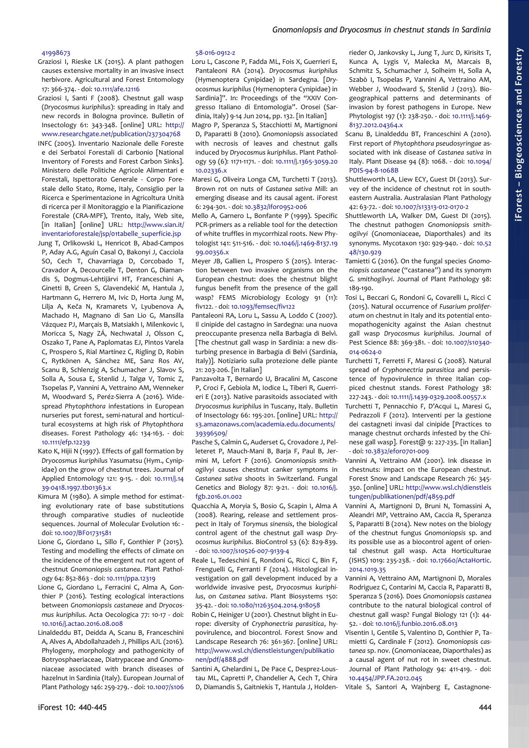## [41998673](http://www.jstor.org/stable/41998673)

- Graziosi I, Rieske LK (2015). A plant pathogen causes extensive mortality in an invasive insect herbivore. Agricultural and Forest Entomology 17: 366-374. - doi: [10.1111/afe.12116](http://dx.doi.org/10.1111/afe.12116)
- Graziosi I, Santi F (2008). Chestnut gall wasp (*Dryocosmus kuriphilus*): spreading in Italy and new records in Bologna province. Bulletin of Insectology 61: 343-348. [online] URL: [http://](http://www.researchgate.net/publication/237304768) [www.researchgate.net/publication/237304768](http://www.researchgate.net/publication/237304768)
- INFC (2005). Inventario Nazionale delle Foreste e dei Serbatoi Forestali di Carbonio [National Inventory of Forests and Forest Carbon Sinks]. Ministero delle Politiche Agricole Alimentari e Forestali, Ispettorato Generale - Corpo Forestale dello Stato, Rome, Italy, Consiglio per la Ricerca e Sperimentazione in Agricoltura Unità di ricerca per il Monitoraggio e la Pianificazione Forestale (CRA-MPF), Trento, Italy, Web site, [in Italian] [online] URL: [http://www.sian.it/](http://www.sian.it/inventarioforestale/jsp/01tabelle_superficie.jsp) [inventarioforestale/jsp/01tabelle\\_superficie.jsp](http://www.sian.it/inventarioforestale/jsp/01tabelle_superficie.jsp)
- Jung T, Orlikowski L, Henricot B, Abad-Campos P, Aday A.G, Aguín Casal O, Bakonyi J, Cacciola SO, Cech T, Chavarriaga D, Corcobado T, Cravador A, Decourcelle T, Denton G, Diamandis S, Dogmus-Lehtijärvi HT, Franceschini A, Ginetti B, Green S, Glavendekić M, Hantula J, Hartmann G, Herrero M, Ivic D, Horta Jung M, Lilja A, Keča N, Kramarets V, Lyubenova A, Machado H, Magnano di San Lio G, Mansilla Vázquez PJ, Marçais B, Matsiakh I, Milenkovic I, Moricca S, Nagy ZÁ, Nechwatal J, Olsson C, Oszako T, Pane A, Paplomatas EJ, Pintos Varela C, Prospero S, Rial Martínez C, Rigling D, Robin C, Rytkönen A, Sánchez ME, Sanz Ros AV, Scanu B, Schlenzig A, Schumacher J, Slavov S, Solla A, Sousa E, Stenlid J, Talgø V, Tomic Z, Tsopelas P, Vannini A, Vettraino AM, Wenneker M, Woodward S, Peréz-Sierra A (2016). Widespread *Phytophthora* infestations in European nurseries put forest, semi-natural and horticultural ecosystems at high risk of *Phytophthora* diseases. Forest Pathology 46: 134-163. - doi: [10.1111/efp.12239](http://dx.doi.org/10.1111/efp.12239)
- Kato K, Hijii N (1997). Effects of gall formation by *Dryocosmus kuriphilus* Yasumatsu (Hym., Cynipidae) on the grow of chestnut trees. Journal of Applied Entomology 121: 9-15. - doi: [10.1111/j.14](http://dx.doi.org/10.1111/j.1439-0418.1997.tb01363.x) [39-0418.1997.tb01363.x](http://dx.doi.org/10.1111/j.1439-0418.1997.tb01363.x)
- Kimura M (1980). A simple method for estimating evolutionary rate of base substitutions through comparative studies of nucleotide sequences. Journal of Molecular Evolution 16: doi: [10.1007/BF01731581](http://dx.doi.org/10.1007/BF01731581)
- Lione G, Giordano L, Sillo F, Gonthier P (2015). Testing and modelling the effects of climate on the incidence of the emergent nut rot agent of chestnut *Gnomoniopsis castanea*. Plant Pathology 64: 852-863 - doi: [10.1111/ppa.12319](http://dx.doi.org/10.1111/ppa.12319)
- Lione G, Giordano L, Ferracini C, Alma A, Gonthier P (2016). Testing ecological interactions between *Gnomoniopsis castaneae* and *Dryocosmus kuriphilus*. Acta Oecologica 77: 10-17 - doi: [10.1016/j.actao.2016.08.008](http://dx.doi.org/10.1016/j.actao.2016.08.008)
- Linaldeddu BT, Deidda A, Scanu B, Franceschini A, Alves A, Abdollahzadeh J, Phillips AJL (2016). Phylogeny, morphology and pathogenicity of Botryosphaeriaceae, Diatrypaceae and Gnomoniaceae associated with branch diseases of hazelnut in Sardinia (Italy). European Journal of Plant Pathology 146: 259-279. - doi: [10.1007/s106](http://dx.doi.org/10.1007/s10658-016-0912-z)

# [58-016-0912-z](http://dx.doi.org/10.1007/s10658-016-0912-z)

- Loru L, Cascone P, Fadda ML, Fois X, Guerrieri E, Pantaleoni RA (2014). *Dryocosmus kuriphilus* (Hymenoptera Cynipidae) in Sardegna. [*Dryocosmus kuriphilus* (Hymenoptera Cynipidae) in Sardinia]". In: Proceedings of the "XXIV Congresso Italiano di Entomologia". Orosei (Sardinia, Italy) 9-14 Jun 2014, pp. 132. [in Italian]
- Magro P, Speranza S, Stacchiotti M, Martignoni D, Paparatti B (2010). *Gnomoniopsis* associated with necrosis of leaves and chestnut galls induced by *Dryocosmus kuriphilus*. Plant Pathology 59 (6): 1171-1171. - doi: [10.1111/j.1365-3059.20](http://dx.doi.org/10.1111/j.1365-3059.2010.02336.x) [10.02336.x](http://dx.doi.org/10.1111/j.1365-3059.2010.02336.x)
- Maresi G, Oliveira Longa CM, Turchetti T (2013). Brown rot on nuts of *Castanea sativa* Mill: an emerging disease and its causal agent. iForest 6: 294-301. - doi: [10.3832/ifor0952-006](http://dx.doi.org/10.3832/ifor0952-006)
- Mello A, Garnero L, Bonfante P (1999). Specific PCR-primers as a reliable tool for the detection of white truffles in mycorrhizal roots. New Phytologist 141: 511-516. - doi: [10.1046/j.1469-8137.19](http://dx.doi.org/10.1046/j.1469-8137.1999.00356.x) [99.00356.x](http://dx.doi.org/10.1046/j.1469-8137.1999.00356.x)
- Meyer JB, Gallien L, Prospero S (2015). Interaction between two invasive organisms on the European chestnut: does the chestnut blight fungus benefit from the presence of the gall wasp? FEMS Microbiology Ecology 91 (11): fiv122. - doi: [10.1093/femsec/fiv122](http://dx.doi.org/10.1093/femsec/fiv122)
- Pantaleoni RA, Loru L, Sassu A, Loddo C (2007). Il cinipide del castagno in Sardegna: una nuova preoccupante presenza nella Barbagia di Belvì. [The chestnut gall wasp in Sardinia: a new disturbing presence in Barbagia di Belvì (Sardinia, Italy)]. Notiziario sulla protezione delle piante 21: 203-206. [in Italian]
- Panzavolta T, Bernardo U, Bracalini M, Cascone P, Croci F, Gebiola M, Iodice L, Tiberi R, Guerrieri E (2013). Native parasitoids associated with *Dryocosmus kuriphilus* in Tuscany, Italy. Bulletin of Insectology 66: 195-201. [online] URL: [http://](http://s3.amazonaws.com/academia.edu.documents/39396509/Bulletin_of_Insectology_2013_Panzavolta.pdf?AWSAccessKeyId=AKIAIWOWYYGZ2Y53UL3A&Expires=1490113954&Signature=s3kBUiCnR/2T/ZaEm9gMBjl+dCw=&response-content-disposition=inline;filename=Native_parasitoids_associated_with_Dryoc.pdf) [s3.amazonaws.com/academia.edu.documents/](http://s3.amazonaws.com/academia.edu.documents/39396509/Bulletin_of_Insectology_2013_Panzavolta.pdf?AWSAccessKeyId=AKIAIWOWYYGZ2Y53UL3A&Expires=1490113954&Signature=s3kBUiCnR/2T/ZaEm9gMBjl+dCw=&response-content-disposition=inline;filename=Native_parasitoids_associated_with_Dryoc.pdf) [39396509/](http://s3.amazonaws.com/academia.edu.documents/39396509/Bulletin_of_Insectology_2013_Panzavolta.pdf?AWSAccessKeyId=AKIAIWOWYYGZ2Y53UL3A&Expires=1490113954&Signature=s3kBUiCnR/2T/ZaEm9gMBjl+dCw=&response-content-disposition=inline;filename=Native_parasitoids_associated_with_Dryoc.pdf)
- Pasche S, Calmin G, Auderset G, Crovadore J, Pelleteret P, Mauch-Mani B, Barja F, Paul B, Jermini M, Lefort F (2016). *Gnomoniopsis smithogilvyi* causes chestnut canker symptoms in *Castanea sativa* shoots in Switzerland. Fungal Genetics and Biology 87: 9-21. - doi: [10.1016/j.](http://dx.doi.org/10.1016/j.fgb.2016.01.002) [fgb.2016.01.002](http://dx.doi.org/10.1016/j.fgb.2016.01.002)
- Quacchia A, Moryia S, Bosio G, Scapin I, Alma A (2008). Rearing, release and settlement prospect in Italy of *Torymus sinensis*, the biological control agent of the chestnut gall wasp *Dryocosmus kuriphilus*. BioControl 53 (6): 829-839. - doi: [10.1007/s10526-007-9139-4](http://dx.doi.org/10.1007/s10526-007-9139-4)
- Reale L, Tedeschini E, Rondoni G, Ricci C, Bin F, Frenguelli G, Ferranti F (2014). Histological investigation on gall development induced by a worldwide invasive pest, *Dryocosmus kuriphilus*, on *Castanea sativa*. Plant Biosystems 150: 35-42. - doi: [10.1080/11263504.2014.918058](http://dx.doi.org/10.1080/11263504.2014.918058)
- Robin C, Heiniger U (2001). Chestnut blight in Europe: diversity of *Cryphonectria parasitica*, hypovirulence, and biocontrol. Forest Snow and Landscape Research 76: 361-367. [online] URL: [http://www.wsl.ch/dienstleistungen/publikatio](http://www.wsl.ch/dienstleistungen/publikationen/pdf/4888.pdf) [nen/pdf/4888.pdf](http://www.wsl.ch/dienstleistungen/publikationen/pdf/4888.pdf)
- Santini A, Ghelardini L, De Pace C, Desprez-Loustau ML, Capretti P, Chandelier A, Cech T, Chira D, Diamandis S, Gaitniekis T, Hantula J, Holden-

rieder O, Jankovsky L, Jung T, Jurc D, Kirisits T, Kunca A, Lygis V, Malecka M, Marcais B, Schmitz S, Schumacher J, Solheim H, Solla A, Szabò I, Tsopelas P, Vannini A, Vettraino AM, Webber J, Woodward S, Stenlid J (2013). Biogeographical patterns and determinants of invasion by forest pathogens in Europe. New Phytologist 197 (1): 238-250. - doi: [10.1111/j.1469-](http://dx.doi.org/10.1111/j.1469-8137.2012.04364.x) [8137.2012.04364.x](http://dx.doi.org/10.1111/j.1469-8137.2012.04364.x)

- Scanu B, Linaldeddu BT, Franceschini A (2010). First report of *Phytophthora pseudosyringae* associated with ink disease of *Castanea sativa* in Italy. Plant Disease 94 (8): 1068. - doi: [10.1094/](http://dx.doi.org/10.1094/PDIS-94-8-1068B) [PDIS-94-8-1068B](http://dx.doi.org/10.1094/PDIS-94-8-1068B)
- Shuttleworth LA, Liew ECY, Guest DI (2013). Survey of the incidence of chestnut rot in southeastern Australia. Australasian Plant Pathology 42: 63-72. - doi: [10.1007/s13313-012-0170-2](http://dx.doi.org/10.1007/s13313-012-0170-2)
- Shuttleworth LA, Walker DM, Guest DI (2015). The chestnut pathogen *Gnomoniopsis smithogilvyi* (Gnomoniaceae, Diaporthales) and its synonyms. Mycotaxon 130: 929-940. - doi: [10.52](http://dx.doi.org/10.5248/130.929) [48/130.929](http://dx.doi.org/10.5248/130.929)
- Tamietti G (2016). On the fungal species *Gnomoniopsis castaneae* ("castanea") and its synonym *G. smithogilvyi*. Journal of Plant Pathology 98: 189-190.
- Tosi L, Beccari G, Rondoni G, Covarelli L, Ricci C (2015). Natural occurrence of *Fusarium proliferatum* on chestnut in Italy and its potential entomopathogenicity against the Asian chestnut gall wasp *Dryocosmus kuriphilus*. Journal of Pest Science 88: 369-381. - doi: [10.1007/s10340-](http://dx.doi.org/10.1007/s10340-014-0624-0) [014-0624-0](http://dx.doi.org/10.1007/s10340-014-0624-0)
- Turchetti T, Ferretti F, Maresi G (2008). Natural spread of *Cryphonectria parasitica* and persistence of hypovirulence in three Italian coppiced chestnut stands. Forest Pathology 38: 227-243. - doi: [10.1111/j.1439-0329.2008.00557.x](http://dx.doi.org/10.1111/j.1439-0329.2008.00557.x)
- Turchetti T, Pennacchio F, D'Acqui L, Maresi G, Pedrazzoli F (2012). Interventi per la gestione dei castagneti invasi dal cinipide [Practices to manage chestnut orchards infested by the Chinese gall wasp]. Forest@ 9: 227-235. [in Italian] - doi: [10.3832/efor0701-009](http://dx.doi.org/10.3832/efor0701-009)
- Vannini A, Vettraino AM (2001). Ink disease in chestnuts: impact on the European chestnut. Forest Snow and Landscape Research 76: 345- 350. [online] URL: [http://www.wsl.ch/dienstleis](http://www.wsl.ch/dienstleistungen/publikationen/pdf/4859.pdf) [tungen/publikationen/pdf/4859.pdf](http://www.wsl.ch/dienstleistungen/publikationen/pdf/4859.pdf)
- Vannini A, Martignoni D, Bruni N, Tomassini A, Aleandri MP, Vettraino AM, Caccia R, Speranza S, Paparatti B (2014). New notes on the biology of the chestnut fungus *Gnomoniopsis* sp. and its possible use as a biocontrol agent of oriental chestnut gall wasp. Acta Horticulturae (ISHS) 1019: 235-238. - doi: [10.17660/ActaHortic.](http://dx.doi.org/10.17660/ActaHortic.2014.1019.35) [2014.1019.35](http://dx.doi.org/10.17660/ActaHortic.2014.1019.35)
- Vannini A, Vettraino AM, Martignoni D, Morales Rodriguez C, Contarini M, Caccia R, Paparatti B, Speranza S (2016). Does *Gnomoniopsis castanea* contribute to the natural biological control of chestnut gall wasp? Fungal Biology 121 (1): 44- 52. - doi: [10.1016/j.funbio.2016.08.013](http://dx.doi.org/10.1016/j.funbio.2016.08.013)
- Visentin I, Gentile S, Valentino D, Gonthier P, Tamietti G, Cardinale F (2012). *Gnomoniopsis castanea* sp. nov. (Gnomoniaceae, Diaporthales) as a causal agent of nut rot in sweet chestnut. Journal of Plant Pathology 94: 411-419. - doi: [10.4454/JPP.FA.2012.045](http://dx.doi.org/10.4454/JPP.FA.2012.045)

Vitale S, Santori A, Wajnberg E, Castagnone-